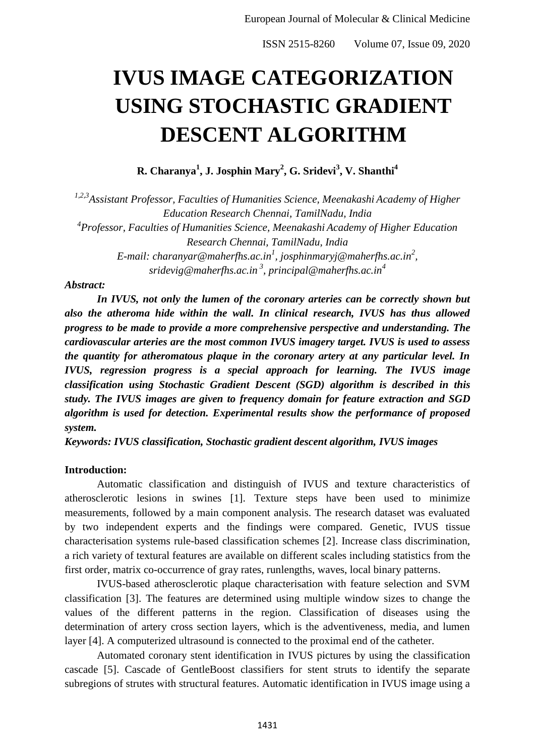# **IVUS IMAGE CATEGORIZATION USING STOCHASTIC GRADIENT DESCENT ALGORITHM**

**R. Charanya<sup>1</sup> , J. Josphin Mary<sup>2</sup> , G. Sridevi<sup>3</sup> , V. Shanthi<sup>4</sup>**

*1,2,3Assistant Professor, Faculties of Humanities Science, Meenakashi Academy of Higher Education Research Chennai, TamilNadu, India 4 Professor, Faculties of Humanities Science, Meenakashi Academy of Higher Education Research Chennai, TamilNadu, India E-mail: charanyar@maherfhs.ac.in<sup>1</sup> , josphinmaryj@maherfhs.ac.in<sup>2</sup> , sridevig@maherfhs.ac.in <sup>3</sup> , principal@maherfhs.ac.in<sup>4</sup>*

#### *Abstract:*

*In IVUS, not only the lumen of the coronary arteries can be correctly shown but also the atheroma hide within the wall. In clinical research, IVUS has thus allowed progress to be made to provide a more comprehensive perspective and understanding. The cardiovascular arteries are the most common IVUS imagery target. IVUS is used to assess the quantity for atheromatous plaque in the coronary artery at any particular level. In IVUS, regression progress is a special approach for learning. The IVUS image classification using Stochastic Gradient Descent (SGD) algorithm is described in this study. The IVUS images are given to frequency domain for feature extraction and SGD algorithm is used for detection. Experimental results show the performance of proposed system.*

*Keywords: IVUS classification, Stochastic gradient descent algorithm, IVUS images*

## **Introduction:**

Automatic classification and distinguish of IVUS and texture characteristics of atherosclerotic lesions in swines [1]. Texture steps have been used to minimize measurements, followed by a main component analysis. The research dataset was evaluated by two independent experts and the findings were compared. Genetic, IVUS tissue characterisation systems rule-based classification schemes [2]. Increase class discrimination, a rich variety of textural features are available on different scales including statistics from the first order, matrix co-occurrence of gray rates, runlengths, waves, local binary patterns.

IVUS-based atherosclerotic plaque characterisation with feature selection and SVM classification [3]. The features are determined using multiple window sizes to change the values of the different patterns in the region. Classification of diseases using the determination of artery cross section layers, which is the adventiveness, media, and lumen layer [4]. A computerized ultrasound is connected to the proximal end of the catheter.

Automated coronary stent identification in IVUS pictures by using the classification cascade [5]. Cascade of GentleBoost classifiers for stent struts to identify the separate subregions of strutes with structural features. Automatic identification in IVUS image using a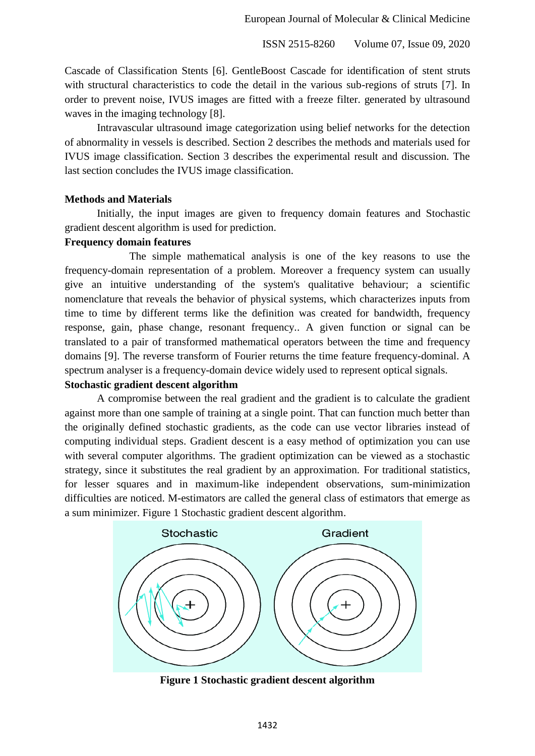ISSN 2515-8260 Volume 07, Issue 09, 2020

Cascade of Classification Stents [6]. GentleBoost Cascade for identification of stent struts with structural characteristics to code the detail in the various sub-regions of struts [7]. In order to prevent noise, IVUS images are fitted with a freeze filter. generated by ultrasound waves in the imaging technology [8].

Intravascular ultrasound image categorization using belief networks for the detection of abnormality in vessels is described. Section 2 describes the methods and materials used for IVUS image classification. Section 3 describes the experimental result and discussion. The last section concludes the IVUS image classification.

#### **Methods and Materials**

Initially, the input images are given to frequency domain features and Stochastic gradient descent algorithm is used for prediction.

#### **Frequency domain features**

The simple mathematical analysis is one of the key reasons to use the frequency-domain representation of a problem. Moreover a frequency system can usually give an intuitive understanding of the system's qualitative behaviour; a scientific nomenclature that reveals the behavior of physical systems, which characterizes inputs from time to time by different terms like the definition was created for bandwidth, frequency response, gain, phase change, resonant frequency.. A given function or signal can be translated to a pair of transformed mathematical operators between the time and frequency domains [9]. The reverse transform of Fourier returns the time feature frequency-dominal. A spectrum analyser is a frequency-domain device widely used to represent optical signals.

#### **Stochastic gradient descent algorithm**

A compromise between the real gradient and the gradient is to calculate the gradient against more than one sample of training at a single point. That can function much better than the originally defined stochastic gradients, as the code can use vector libraries instead of computing individual steps. Gradient descent is a easy method of optimization you can use with several computer algorithms. The gradient optimization can be viewed as a stochastic strategy, since it substitutes the real gradient by an approximation. For traditional statistics, for lesser squares and in maximum-like independent observations, sum-minimization difficulties are noticed. M-estimators are called the general class of estimators that emerge as a sum minimizer. Figure 1 Stochastic gradient descent algorithm.



**Figure 1 Stochastic gradient descent algorithm**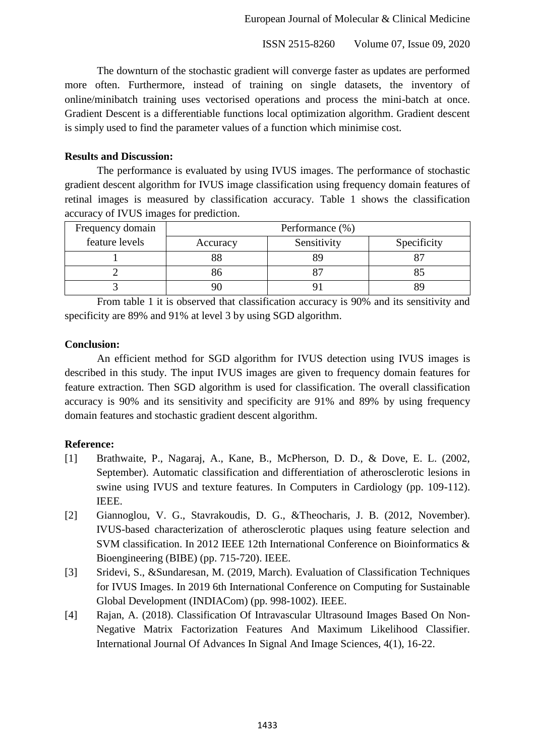ISSN 2515-8260 Volume 07, Issue 09, 2020

The downturn of the stochastic gradient will converge faster as updates are performed more often. Furthermore, instead of training on single datasets, the inventory of online/minibatch training uses vectorised operations and process the mini-batch at once. Gradient Descent is a differentiable functions local optimization algorithm. Gradient descent is simply used to find the parameter values of a function which minimise cost.

### **Results and Discussion:**

The performance is evaluated by using IVUS images. The performance of stochastic gradient descent algorithm for IVUS image classification using frequency domain features of retinal images is measured by classification accuracy. Table 1 shows the classification accuracy of IVUS images for prediction.

| Frequency domain | Performance (%) |             |             |
|------------------|-----------------|-------------|-------------|
| feature levels   | Accuracy        | Sensitivity | Specificity |
|                  |                 |             |             |
|                  |                 |             |             |
|                  |                 |             |             |

From table 1 it is observed that classification accuracy is 90% and its sensitivity and specificity are 89% and 91% at level 3 by using SGD algorithm.

## **Conclusion:**

An efficient method for SGD algorithm for IVUS detection using IVUS images is described in this study. The input IVUS images are given to frequency domain features for feature extraction. Then SGD algorithm is used for classification. The overall classification accuracy is 90% and its sensitivity and specificity are 91% and 89% by using frequency domain features and stochastic gradient descent algorithm.

## **Reference:**

- [1] Brathwaite, P., Nagaraj, A., Kane, B., McPherson, D. D., & Dove, E. L. (2002, September). Automatic classification and differentiation of atherosclerotic lesions in swine using IVUS and texture features. In Computers in Cardiology (pp. 109-112). IEEE.
- [2] Giannoglou, V. G., Stavrakoudis, D. G., &Theocharis, J. B. (2012, November). IVUS-based characterization of atherosclerotic plaques using feature selection and SVM classification. In 2012 IEEE 12th International Conference on Bioinformatics & Bioengineering (BIBE) (pp. 715-720). IEEE.
- [3] Sridevi, S., &Sundaresan, M. (2019, March). Evaluation of Classification Techniques for IVUS Images. In 2019 6th International Conference on Computing for Sustainable Global Development (INDIACom) (pp. 998-1002). IEEE.
- [4] Rajan, A. (2018). Classification Of Intravascular Ultrasound Images Based On Non-Negative Matrix Factorization Features And Maximum Likelihood Classifier. International Journal Of Advances In Signal And Image Sciences, 4(1), 16-22.